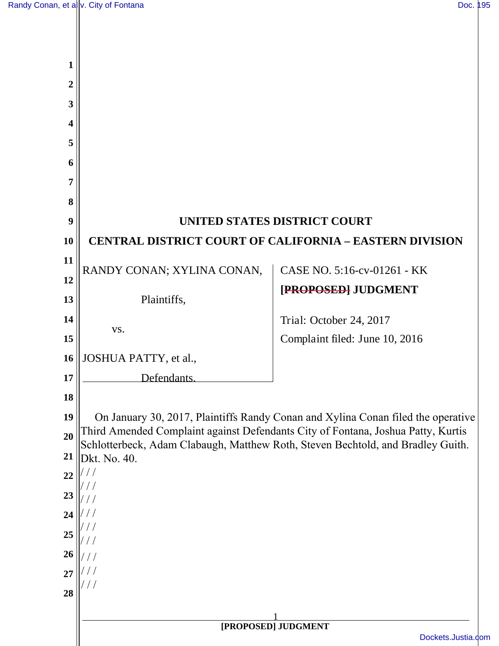| 1  |                                                                |                                                                                                                                                                     |  |
|----|----------------------------------------------------------------|---------------------------------------------------------------------------------------------------------------------------------------------------------------------|--|
| 2  |                                                                |                                                                                                                                                                     |  |
| 3  |                                                                |                                                                                                                                                                     |  |
| 4  |                                                                |                                                                                                                                                                     |  |
| 5  |                                                                |                                                                                                                                                                     |  |
| 6  |                                                                |                                                                                                                                                                     |  |
| 7  |                                                                |                                                                                                                                                                     |  |
| 8  |                                                                |                                                                                                                                                                     |  |
| 9  | UNITED STATES DISTRICT COURT                                   |                                                                                                                                                                     |  |
| 10 | <b>CENTRAL DISTRICT COURT OF CALIFORNIA - EASTERN DIVISION</b> |                                                                                                                                                                     |  |
| 11 |                                                                | CASE NO. 5:16-cv-01261 - KK                                                                                                                                         |  |
| 12 | RANDY CONAN; XYLINA CONAN,                                     |                                                                                                                                                                     |  |
| 13 | Plaintiffs,                                                    | [PROPOSED] JUDGMENT                                                                                                                                                 |  |
| 14 |                                                                | Trial: October 24, 2017                                                                                                                                             |  |
| 15 | VS.                                                            | Complaint filed: June 10, 2016                                                                                                                                      |  |
| 16 | JOSHUA PATTY, et al.,                                          |                                                                                                                                                                     |  |
| 17 | Defendants.                                                    |                                                                                                                                                                     |  |
| 18 |                                                                |                                                                                                                                                                     |  |
| 19 |                                                                | On January 30, 2017, Plaintiffs Randy Conan and Xylina Conan filed the operative                                                                                    |  |
| 20 |                                                                | Third Amended Complaint against Defendants City of Fontana, Joshua Patty, Kurtis<br>Schlotterbeck, Adam Clabaugh, Matthew Roth, Steven Bechtold, and Bradley Guith. |  |
| 21 | Dkt. No. 40.                                                   |                                                                                                                                                                     |  |
| 22 |                                                                |                                                                                                                                                                     |  |
| 23 |                                                                |                                                                                                                                                                     |  |
| 24 |                                                                |                                                                                                                                                                     |  |
| 25 |                                                                |                                                                                                                                                                     |  |
| 26 |                                                                |                                                                                                                                                                     |  |
| 27 |                                                                |                                                                                                                                                                     |  |
| 28 |                                                                |                                                                                                                                                                     |  |
|    | [PROPOSED] JUDGMENT                                            |                                                                                                                                                                     |  |
|    | Dockets.Justia.com                                             |                                                                                                                                                                     |  |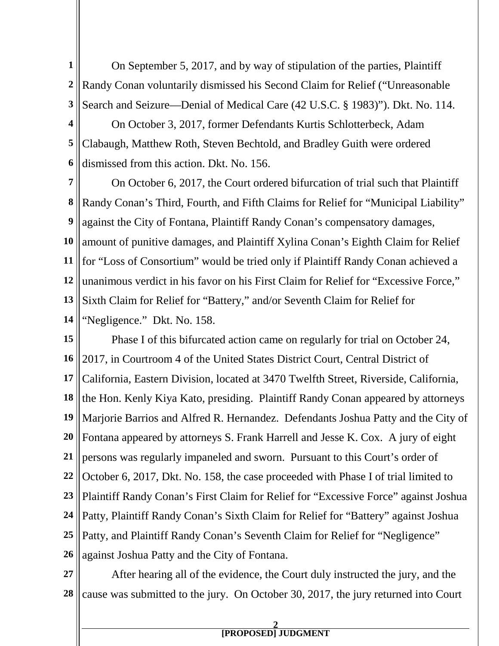**1 2 3** On September 5, 2017, and by way of stipulation of the parties, Plaintiff Randy Conan voluntarily dismissed his Second Claim for Relief ("Unreasonable Search and Seizure—Denial of Medical Care (42 U.S.C. § 1983)"). Dkt. No. 114.

**4 5 6** On October 3, 2017, former Defendants Kurtis Schlotterbeck, Adam Clabaugh, Matthew Roth, Steven Bechtold, and Bradley Guith were ordered dismissed from this action. Dkt. No. 156.

**7 8 9 10 11 12 13 14** On October 6, 2017, the Court ordered bifurcation of trial such that Plaintiff Randy Conan's Third, Fourth, and Fifth Claims for Relief for "Municipal Liability" against the City of Fontana, Plaintiff Randy Conan's compensatory damages, amount of punitive damages, and Plaintiff Xylina Conan's Eighth Claim for Relief for "Loss of Consortium" would be tried only if Plaintiff Randy Conan achieved a unanimous verdict in his favor on his First Claim for Relief for "Excessive Force," Sixth Claim for Relief for "Battery," and/or Seventh Claim for Relief for "Negligence." Dkt. No. 158.

**15 16 17 18 19 20 21 22 23 24 25 26** Phase I of this bifurcated action came on regularly for trial on October 24, 2017, in Courtroom 4 of the United States District Court, Central District of California, Eastern Division, located at 3470 Twelfth Street, Riverside, California, the Hon. Kenly Kiya Kato, presiding. Plaintiff Randy Conan appeared by attorneys Marjorie Barrios and Alfred R. Hernandez. Defendants Joshua Patty and the City of Fontana appeared by attorneys S. Frank Harrell and Jesse K. Cox. A jury of eight persons was regularly impaneled and sworn. Pursuant to this Court's order of October 6, 2017, Dkt. No. 158, the case proceeded with Phase I of trial limited to Plaintiff Randy Conan's First Claim for Relief for "Excessive Force" against Joshua Patty, Plaintiff Randy Conan's Sixth Claim for Relief for "Battery" against Joshua Patty, and Plaintiff Randy Conan's Seventh Claim for Relief for "Negligence" against Joshua Patty and the City of Fontana.

**27 28** After hearing all of the evidence, the Court duly instructed the jury, and the cause was submitted to the jury. On October 30, 2017, the jury returned into Court

## **2 [PROPOSED] JUDGMENT**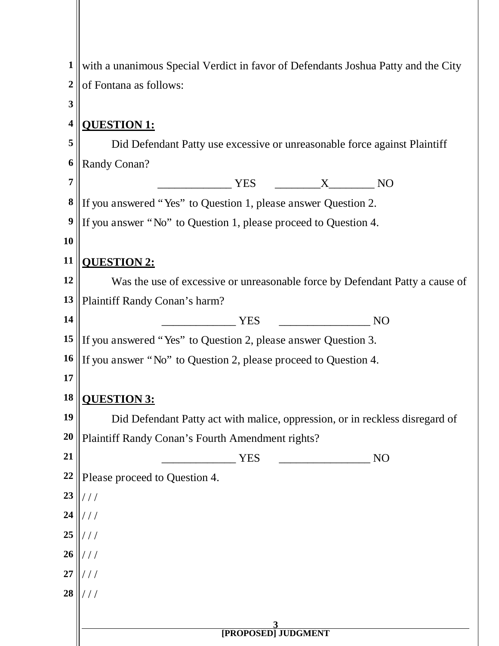| $\mathbf{1}$            | with a unanimous Special Verdict in favor of Defendants Joshua Patty and the City |  |  |  |  |
|-------------------------|-----------------------------------------------------------------------------------|--|--|--|--|
| $\boldsymbol{2}$        | of Fontana as follows:                                                            |  |  |  |  |
| 3                       |                                                                                   |  |  |  |  |
| $\overline{\mathbf{4}}$ | <b>QUESTION 1:</b>                                                                |  |  |  |  |
| 5                       | Did Defendant Patty use excessive or unreasonable force against Plaintiff         |  |  |  |  |
| 6                       | Randy Conan?                                                                      |  |  |  |  |
| $\overline{7}$          | <b>YES</b><br>$X \sim$<br>N <sub>O</sub>                                          |  |  |  |  |
| $\bf{8}$                | If you answered "Yes" to Question 1, please answer Question 2.                    |  |  |  |  |
| $\boldsymbol{9}$        | If you answer "No" to Question 1, please proceed to Question 4.                   |  |  |  |  |
| 10                      |                                                                                   |  |  |  |  |
| 11                      | <b>QUESTION 2:</b>                                                                |  |  |  |  |
| 12                      | Was the use of excessive or unreasonable force by Defendant Patty a cause of      |  |  |  |  |
| 13                      | Plaintiff Randy Conan's harm?                                                     |  |  |  |  |
| 14                      | <b>YES</b><br>N <sub>O</sub>                                                      |  |  |  |  |
| 15                      | If you answered "Yes" to Question 2, please answer Question 3.                    |  |  |  |  |
| 16                      | If you answer "No" to Question 2, please proceed to Question 4.                   |  |  |  |  |
| 17                      |                                                                                   |  |  |  |  |
| 18                      | <b>OUESTION 3:</b>                                                                |  |  |  |  |
| 19                      | Did Defendant Patty act with malice, oppression, or in reckless disregard of      |  |  |  |  |
| 20                      | Plaintiff Randy Conan's Fourth Amendment rights?                                  |  |  |  |  |
| 21                      | N <sub>O</sub><br><b>YES</b>                                                      |  |  |  |  |
| 22                      | Please proceed to Question 4.                                                     |  |  |  |  |
| 23                      | $\frac{1}{2}$                                                                     |  |  |  |  |
| 24                      | $^{\prime}$ / /                                                                   |  |  |  |  |
| 25                      | $^{\prime}$ / /                                                                   |  |  |  |  |
| 26                      | $^{\prime}$ / /                                                                   |  |  |  |  |
| 27                      |                                                                                   |  |  |  |  |
| 28                      |                                                                                   |  |  |  |  |
|                         |                                                                                   |  |  |  |  |
|                         | [PROPOSED] JUDGMENT                                                               |  |  |  |  |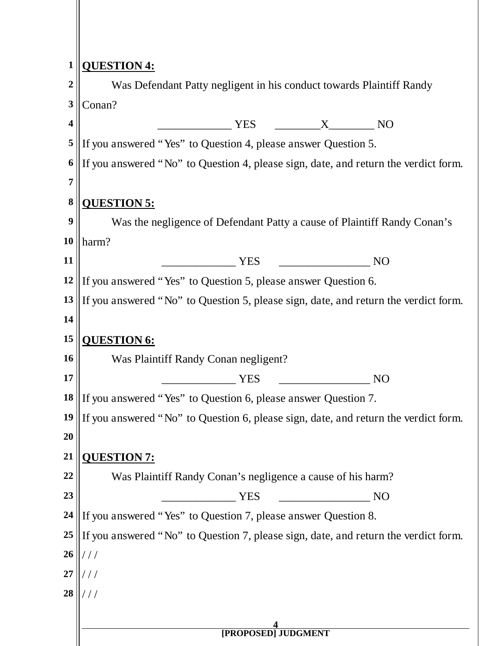| $\mathbf{1}$            | <b>QUESTION 4:</b>                                                                     |  |  |  |  |
|-------------------------|----------------------------------------------------------------------------------------|--|--|--|--|
| $\boldsymbol{2}$        | Was Defendant Patty negligent in his conduct towards Plaintiff Randy                   |  |  |  |  |
| 3                       | Conan?                                                                                 |  |  |  |  |
| $\overline{\mathbf{4}}$ | <b>YES</b><br>$\mathbf{X}$<br>N <sub>O</sub>                                           |  |  |  |  |
| 5                       | If you answered "Yes" to Question 4, please answer Question 5.                         |  |  |  |  |
| 6                       | If you answered "No" to Question 4, please sign, date, and return the verdict form.    |  |  |  |  |
| 7                       |                                                                                        |  |  |  |  |
| $\bf{8}$                | <b>QUESTION 5:</b>                                                                     |  |  |  |  |
| 9                       | Was the negligence of Defendant Patty a cause of Plaintiff Randy Conan's               |  |  |  |  |
| 10                      | harm?                                                                                  |  |  |  |  |
| 11                      | <b>YES</b><br>N <sub>O</sub>                                                           |  |  |  |  |
| 12                      | If you answered "Yes" to Question 5, please answer Question 6.                         |  |  |  |  |
| 13                      | If you answered "No" to Question 5, please sign, date, and return the verdict form.    |  |  |  |  |
| 14                      |                                                                                        |  |  |  |  |
| 15                      | <b>QUESTION 6:</b>                                                                     |  |  |  |  |
| 16                      | Was Plaintiff Randy Conan negligent?                                                   |  |  |  |  |
| 17                      | <b>NO</b><br><b>YES</b>                                                                |  |  |  |  |
| 18                      | If you answered "Yes" to Question 6, please answer Question 7.                         |  |  |  |  |
|                         | 19 If you answered "No" to Question 6, please sign, date, and return the verdict form. |  |  |  |  |
| 20                      |                                                                                        |  |  |  |  |
| 21                      | <b>QUESTION 7:</b>                                                                     |  |  |  |  |
| 22                      | Was Plaintiff Randy Conan's negligence a cause of his harm?                            |  |  |  |  |
| 23                      | <b>YES</b><br>N <sub>O</sub>                                                           |  |  |  |  |
| 24                      | If you answered "Yes" to Question 7, please answer Question 8.                         |  |  |  |  |
| 25                      | If you answered "No" to Question 7, please sign, date, and return the verdict form.    |  |  |  |  |
| 26                      | $^{\prime}$ / /                                                                        |  |  |  |  |
| $\overline{27}$         |                                                                                        |  |  |  |  |
| 28                      |                                                                                        |  |  |  |  |
|                         |                                                                                        |  |  |  |  |
|                         | <b>[PROPOSED] JUDGMENT</b>                                                             |  |  |  |  |
|                         |                                                                                        |  |  |  |  |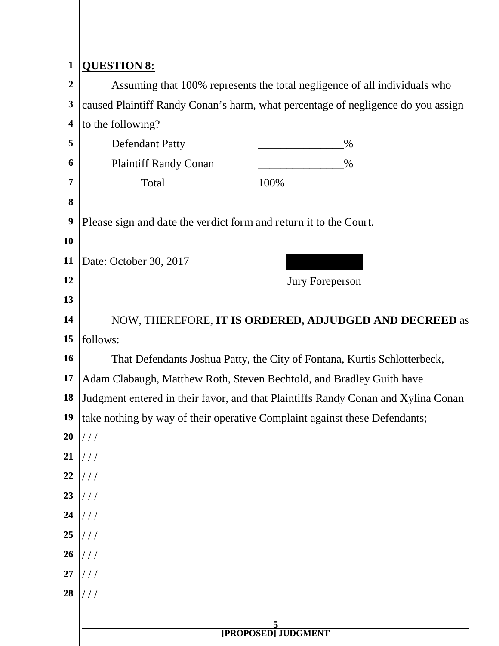## **1 QUESTION 8:**

|                         | Y CHOTTON OF                                                                      |      |  |  |
|-------------------------|-----------------------------------------------------------------------------------|------|--|--|
| $\overline{2}$          | Assuming that 100% represents the total negligence of all individuals who         |      |  |  |
| 3                       | caused Plaintiff Randy Conan's harm, what percentage of negligence do you assign  |      |  |  |
| $\overline{\mathbf{4}}$ | to the following?                                                                 |      |  |  |
| 5                       | <b>Defendant Patty</b>                                                            | $\%$ |  |  |
| 6                       | <b>Plaintiff Randy Conan</b>                                                      | $\%$ |  |  |
| 7                       | Total                                                                             | 100% |  |  |
| 8                       |                                                                                   |      |  |  |
| 9                       | Please sign and date the verdict form and return it to the Court.                 |      |  |  |
| 10                      |                                                                                   |      |  |  |
| 11                      | Date: October 30, 2017                                                            |      |  |  |
| 12                      | <b>Jury Foreperson</b>                                                            |      |  |  |
| 13                      |                                                                                   |      |  |  |
| 14                      | NOW, THEREFORE, IT IS ORDERED, ADJUDGED AND DECREED as                            |      |  |  |
| 15                      | follows:                                                                          |      |  |  |
| 16                      | That Defendants Joshua Patty, the City of Fontana, Kurtis Schlotterbeck,          |      |  |  |
| 17                      | Adam Clabaugh, Matthew Roth, Steven Bechtold, and Bradley Guith have              |      |  |  |
| 18                      | Judgment entered in their favor, and that Plaintiffs Randy Conan and Xylina Conan |      |  |  |
| 19                      | take nothing by way of their operative Complaint against these Defendants;        |      |  |  |
| 20                      | $1 \quad 1 \quad 1$                                                               |      |  |  |
| 21                      | ///                                                                               |      |  |  |
| 22                      | ///                                                                               |      |  |  |
| 23                      | ///                                                                               |      |  |  |
| 24                      | ///                                                                               |      |  |  |
| 25                      | ///                                                                               |      |  |  |
| 26                      | //                                                                                |      |  |  |
| 27                      | ///                                                                               |      |  |  |
| 28                      | ///                                                                               |      |  |  |
|                         |                                                                                   |      |  |  |
|                         | <b>EXAMPLE DEPARTMENT</b>                                                         |      |  |  |
|                         |                                                                                   |      |  |  |